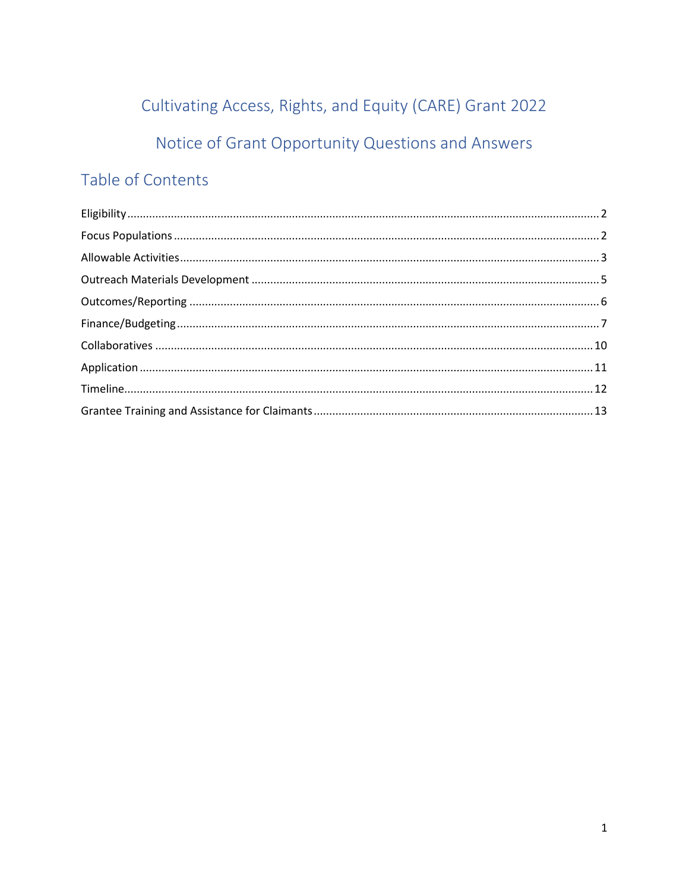# Cultivating Access, Rights, and Equity (CARE) Grant 2022 Notice of Grant Opportunity Questions and Answers

# Table of Contents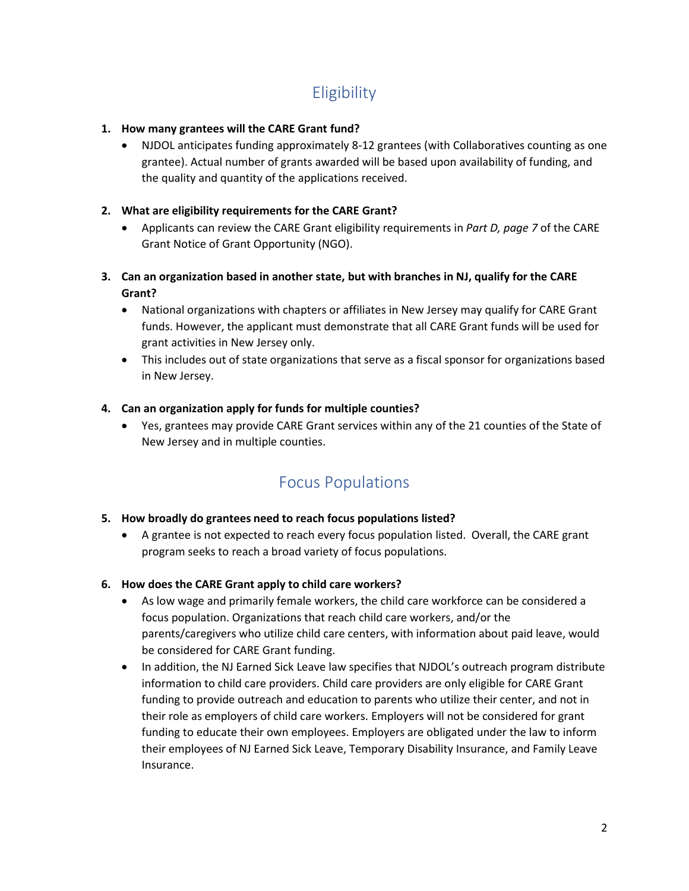# **Eligibility**

# <span id="page-1-0"></span>**1. How many grantees will the CARE Grant fund?**

 NJDOL anticipates funding approximately 8-12 grantees (with Collaboratives counting as one grantee). Actual number of grants awarded will be based upon availability of funding, and the quality and quantity of the applications received.

# **2. What are eligibility requirements for the CARE Grant?**

- Applicants can review the CARE Grant eligibility requirements in *Part D, page 7* of the CARE Grant Notice of Grant Opportunity (NGO).
- **3. Can an organization based in another state, but with branches in NJ, qualify for the CARE Grant?**
	- National organizations with chapters or affiliates in New Jersey may qualify for CARE Grant funds. However, the applicant must demonstrate that all CARE Grant funds will be used for grant activities in New Jersey only.
	- This includes out of state organizations that serve as a fiscal sponsor for organizations based in New Jersey.

# **4. Can an organization apply for funds for multiple counties?**

 Yes, grantees may provide CARE Grant services within any of the 21 counties of the State of New Jersey and in multiple counties.

# Focus Populations

# <span id="page-1-1"></span>**5. How broadly do grantees need to reach focus populations listed?**

 A grantee is not expected to reach every focus population listed. Overall, the CARE grant program seeks to reach a broad variety of focus populations.

# **6. How does the CARE Grant apply to child care workers?**

- As low wage and primarily female workers, the child care workforce can be considered a focus population. Organizations that reach child care workers, and/or the parents/caregivers who utilize child care centers, with information about paid leave, would be considered for CARE Grant funding.
- In addition, the NJ Earned Sick Leave law specifies that NJDOL's outreach program distribute information to child care providers. Child care providers are only eligible for CARE Grant funding to provide outreach and education to parents who utilize their center, and not in their role as employers of child care workers. Employers will not be considered for grant funding to educate their own employees. Employers are obligated under the law to inform their employees of NJ Earned Sick Leave, Temporary Disability Insurance, and Family Leave Insurance.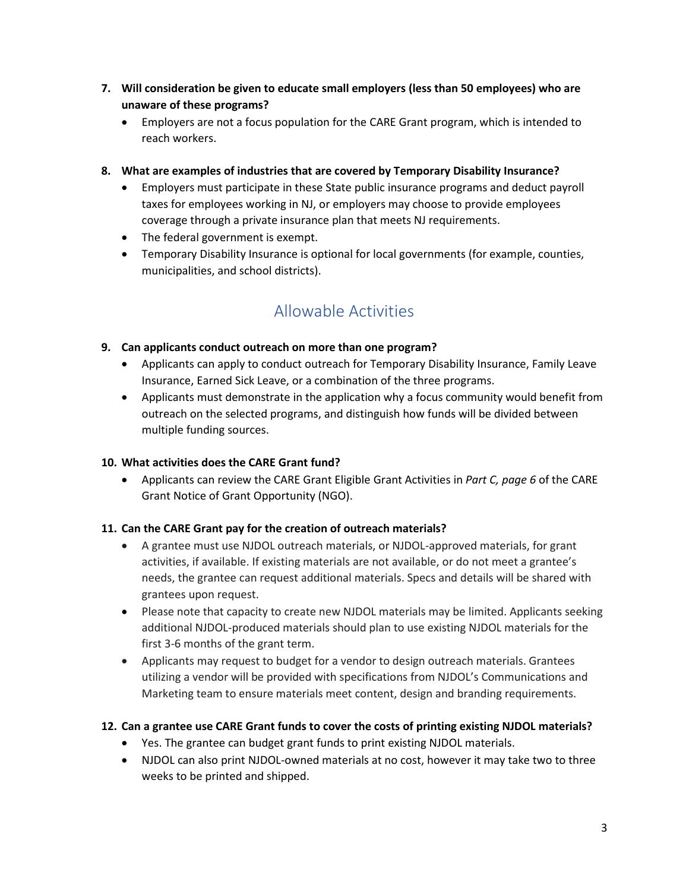- **7. Will consideration be given to educate small employers (less than 50 employees) who are unaware of these programs?**
	- Employers are not a focus population for the CARE Grant program, which is intended to reach workers.
- **8. What are examples of industries that are covered by Temporary Disability Insurance?**
	- Employers must participate in these State public insurance programs and deduct payroll taxes for employees working in NJ, or employers may choose to provide employees coverage through a private insurance plan that meets NJ requirements.
	- The federal government is exempt.
	- Temporary Disability Insurance is optional for local governments (for example, counties, municipalities, and school districts).

# Allowable Activities

# <span id="page-2-0"></span>**9. Can applicants conduct outreach on more than one program?**

- Applicants can apply to conduct outreach for Temporary Disability Insurance, Family Leave Insurance, Earned Sick Leave, or a combination of the three programs.
- Applicants must demonstrate in the application why a focus community would benefit from outreach on the selected programs, and distinguish how funds will be divided between multiple funding sources.

# **10. What activities does the CARE Grant fund?**

 Applicants can review the CARE Grant Eligible Grant Activities in *Part C, page 6* of the CARE Grant Notice of Grant Opportunity (NGO).

# **11. Can the CARE Grant pay for the creation of outreach materials?**

- A grantee must use NJDOL outreach materials, or NJDOL-approved materials, for grant activities, if available. If existing materials are not available, or do not meet a grantee's needs, the grantee can request additional materials. Specs and details will be shared with grantees upon request.
- Please note that capacity to create new NJDOL materials may be limited. Applicants seeking additional NJDOL-produced materials should plan to use existing NJDOL materials for the first 3-6 months of the grant term.
- Applicants may request to budget for a vendor to design outreach materials. Grantees utilizing a vendor will be provided with specifications from NJDOL's Communications and Marketing team to ensure materials meet content, design and branding requirements.

# **12. Can a grantee use CARE Grant funds to cover the costs of printing existing NJDOL materials?**

- Yes. The grantee can budget grant funds to print existing NJDOL materials.
- NJDOL can also print NJDOL-owned materials at no cost, however it may take two to three weeks to be printed and shipped.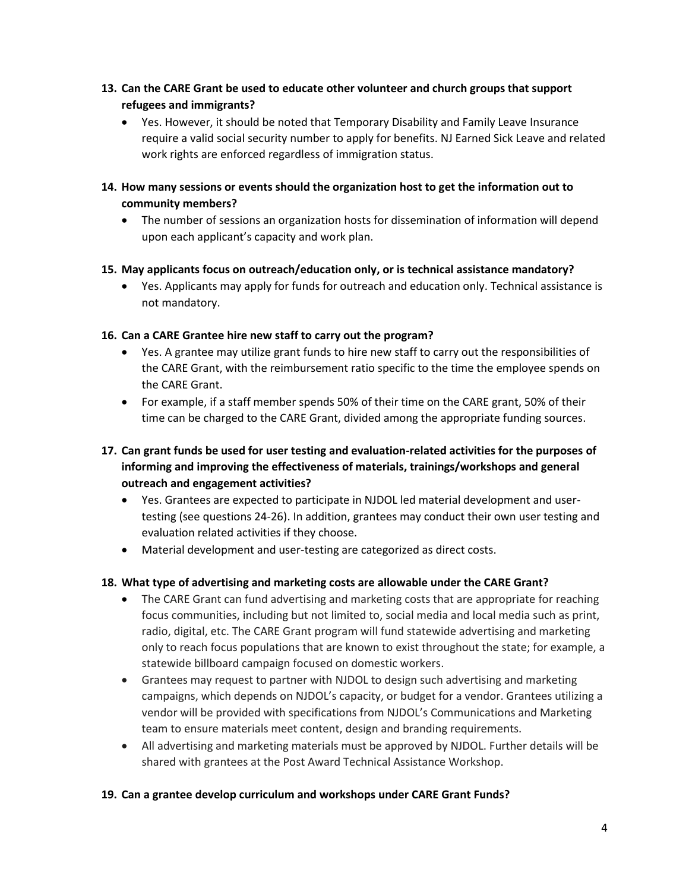- **13. Can the CARE Grant be used to educate other volunteer and church groups that support refugees and immigrants?** 
	- Yes. However, it should be noted that Temporary Disability and Family Leave Insurance require a valid social security number to apply for benefits. NJ Earned Sick Leave and related work rights are enforced regardless of immigration status.
- **14. How many sessions or events should the organization host to get the information out to community members?**
	- The number of sessions an organization hosts for dissemination of information will depend upon each applicant's capacity and work plan.
- **15. May applicants focus on outreach/education only, or is technical assistance mandatory?** 
	- Yes. Applicants may apply for funds for outreach and education only. Technical assistance is not mandatory.

#### **16. Can a CARE Grantee hire new staff to carry out the program?**

- Yes. A grantee may utilize grant funds to hire new staff to carry out the responsibilities of the CARE Grant, with the reimbursement ratio specific to the time the employee spends on the CARE Grant.
- For example, if a staff member spends 50% of their time on the CARE grant, 50% of their time can be charged to the CARE Grant, divided among the appropriate funding sources.
- **17. Can grant funds be used for user testing and evaluation-related activities for the purposes of informing and improving the effectiveness of materials, trainings/workshops and general outreach and engagement activities?**
	- Yes. Grantees are expected to participate in NJDOL led material development and usertesting (see questions 24-26). In addition, grantees may conduct their own user testing and evaluation related activities if they choose.
	- Material development and user-testing are categorized as direct costs.

# **18. What type of advertising and marketing costs are allowable under the CARE Grant?**

- The CARE Grant can fund advertising and marketing costs that are appropriate for reaching focus communities, including but not limited to, social media and local media such as print, radio, digital, etc. The CARE Grant program will fund statewide advertising and marketing only to reach focus populations that are known to exist throughout the state; for example, a statewide billboard campaign focused on domestic workers.
- Grantees may request to partner with NJDOL to design such advertising and marketing campaigns, which depends on NJDOL's capacity, or budget for a vendor. Grantees utilizing a vendor will be provided with specifications from NJDOL's Communications and Marketing team to ensure materials meet content, design and branding requirements.
- All advertising and marketing materials must be approved by NJDOL. Further details will be shared with grantees at the Post Award Technical Assistance Workshop.

#### **19. Can a grantee develop curriculum and workshops under CARE Grant Funds?**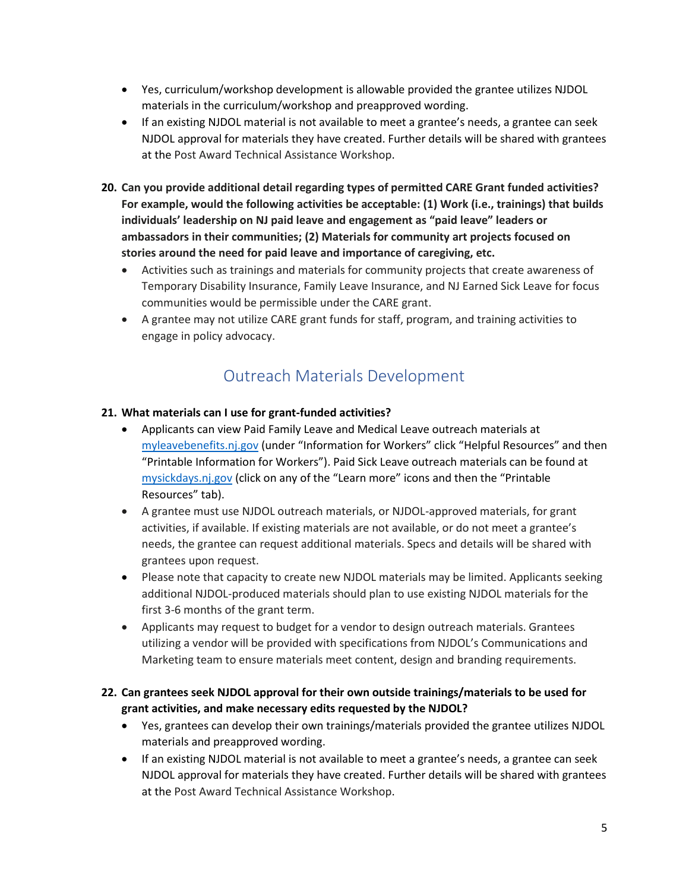- Yes, curriculum/workshop development is allowable provided the grantee utilizes NJDOL materials in the curriculum/workshop and preapproved wording.
- If an existing NJDOL material is not available to meet a grantee's needs, a grantee can seek NJDOL approval for materials they have created. Further details will be shared with grantees at the Post Award Technical Assistance Workshop.
- **20. Can you provide additional detail regarding types of permitted CARE Grant funded activities? For example, would the following activities be acceptable: (1) Work (i.e., trainings) that builds individuals' leadership on NJ paid leave and engagement as "paid leave" leaders or ambassadors in their communities; (2) Materials for community art projects focused on stories around the need for paid leave and importance of caregiving, etc.** 
	- Activities such as trainings and materials for community projects that create awareness of Temporary Disability Insurance, Family Leave Insurance, and NJ Earned Sick Leave for focus communities would be permissible under the CARE grant.
	- A grantee may not utilize CARE grant funds for staff, program, and training activities to engage in policy advocacy.

# Outreach Materials Development

# <span id="page-4-0"></span>**21. What materials can I use for grant-funded activities?**

- Applicants can view Paid Family Leave and Medical Leave outreach materials at [myleavebenefits.nj.gov](https://www.myleavebenefits.nj.gov/labor/myle%20avebenefits/worker/resources/printablesforworkers.shtml) (under "Information for Workers" click "Helpful Resources" and then "Printable Information for Workers"). Paid Sick Leave outreach materials can be found at [mysickdays.nj.gov](https://www.nj.gov/labor/worker-protections/earnedsick/) (click on any of the "Learn more" icons and then the "Printable Resources" tab).
- A grantee must use NJDOL outreach materials, or NJDOL-approved materials, for grant activities, if available. If existing materials are not available, or do not meet a grantee's needs, the grantee can request additional materials. Specs and details will be shared with grantees upon request.
- Please note that capacity to create new NJDOL materials may be limited. Applicants seeking additional NJDOL-produced materials should plan to use existing NJDOL materials for the first 3-6 months of the grant term.
- Applicants may request to budget for a vendor to design outreach materials. Grantees utilizing a vendor will be provided with specifications from NJDOL's Communications and Marketing team to ensure materials meet content, design and branding requirements.

# **22. Can grantees seek NJDOL approval for their own outside trainings/materials to be used for grant activities, and make necessary edits requested by the NJDOL?**

- Yes, grantees can develop their own trainings/materials provided the grantee utilizes NJDOL materials and preapproved wording.
- If an existing NJDOL material is not available to meet a grantee's needs, a grantee can seek NJDOL approval for materials they have created. Further details will be shared with grantees at the Post Award Technical Assistance Workshop.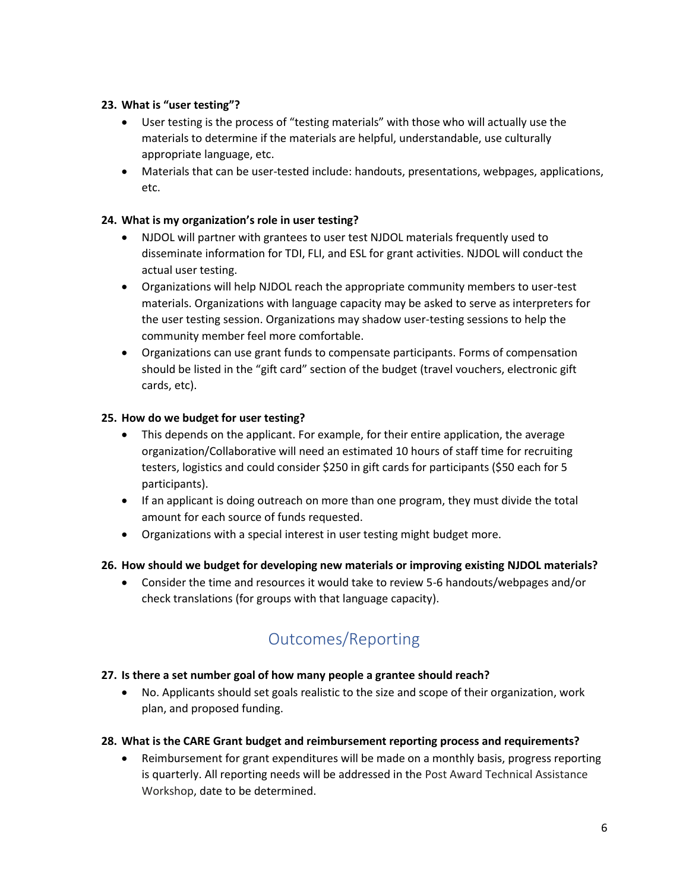# **23. What is "user testing"?**

- User testing is the process of "testing materials" with those who will actually use the materials to determine if the materials are helpful, understandable, use culturally appropriate language, etc.
- Materials that can be user-tested include: handouts, presentations, webpages, applications, etc.

# **24. What is my organization's role in user testing?**

- NJDOL will partner with grantees to user test NJDOL materials frequently used to disseminate information for TDI, FLI, and ESL for grant activities. NJDOL will conduct the actual user testing.
- Organizations will help NJDOL reach the appropriate community members to user-test materials. Organizations with language capacity may be asked to serve as interpreters for the user testing session. Organizations may shadow user-testing sessions to help the community member feel more comfortable.
- Organizations can use grant funds to compensate participants. Forms of compensation should be listed in the "gift card" section of the budget (travel vouchers, electronic gift cards, etc).

# **25. How do we budget for user testing?**

- This depends on the applicant. For example, for their entire application, the average organization/Collaborative will need an estimated 10 hours of staff time for recruiting testers, logistics and could consider \$250 in gift cards for participants (\$50 each for 5 participants).
- If an applicant is doing outreach on more than one program, they must divide the total amount for each source of funds requested.
- Organizations with a special interest in user testing might budget more.

# **26. How should we budget for developing new materials or improving existing NJDOL materials?**

 Consider the time and resources it would take to review 5-6 handouts/webpages and/or check translations (for groups with that language capacity).

# Outcomes/Reporting

# <span id="page-5-0"></span>**27. Is there a set number goal of how many people a grantee should reach?**

 No. Applicants should set goals realistic to the size and scope of their organization, work plan, and proposed funding.

# **28. What is the CARE Grant budget and reimbursement reporting process and requirements?**

 Reimbursement for grant expenditures will be made on a monthly basis, progress reporting is quarterly. All reporting needs will be addressed in the Post Award Technical Assistance Workshop, date to be determined.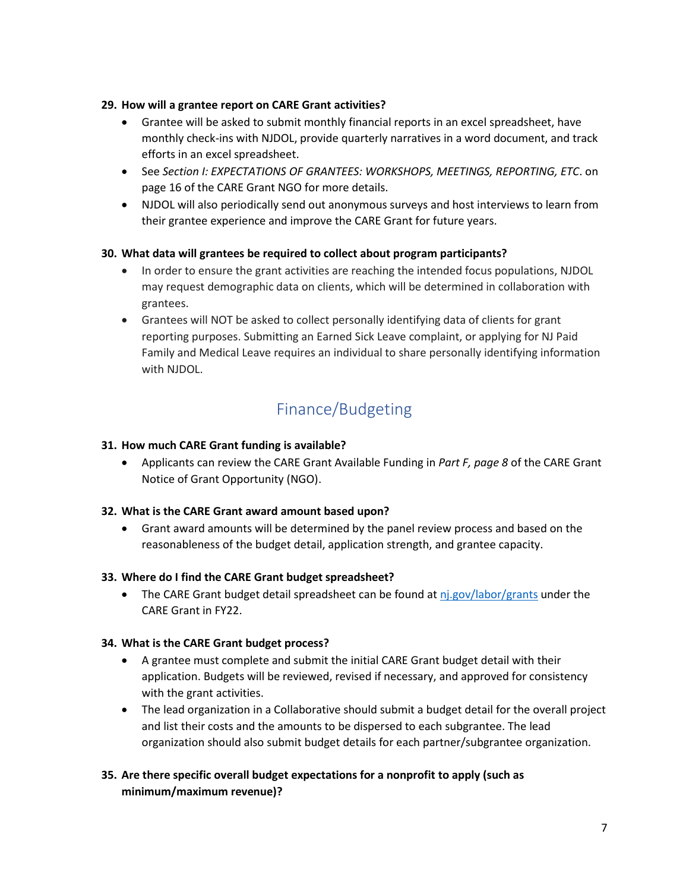# **29. How will a grantee report on CARE Grant activities?**

- Grantee will be asked to submit monthly financial reports in an excel spreadsheet, have monthly check-ins with NJDOL, provide quarterly narratives in a word document, and track efforts in an excel spreadsheet.
- See *Section I: EXPECTATIONS OF GRANTEES: WORKSHOPS, MEETINGS, REPORTING, ETC*. on page 16 of the CARE Grant NGO for more details.
- NJDOL will also periodically send out anonymous surveys and host interviews to learn from their grantee experience and improve the CARE Grant for future years.

#### **30. What data will grantees be required to collect about program participants?**

- In order to ensure the grant activities are reaching the intended focus populations, NJDOL may request demographic data on clients, which will be determined in collaboration with grantees.
- Grantees will NOT be asked to collect personally identifying data of clients for grant reporting purposes. Submitting an Earned Sick Leave complaint, or applying for NJ Paid Family and Medical Leave requires an individual to share personally identifying information with NJDOL.

# Finance/Budgeting

#### <span id="page-6-0"></span>**31. How much CARE Grant funding is available?**

 Applicants can review the CARE Grant Available Funding in *Part F, page 8* of the CARE Grant Notice of Grant Opportunity (NGO).

# **32. What is the CARE Grant award amount based upon?**

 Grant award amounts will be determined by the panel review process and based on the reasonableness of the budget detail, application strength, and grantee capacity.

#### **33. Where do I find the CARE Grant budget spreadsheet?**

• The CARE Grant budget detail spreadsheet can be found at  $nj.gov/labor/grants$  under the CARE Grant in FY22.

#### **34. What is the CARE Grant budget process?**

- A grantee must complete and submit the initial CARE Grant budget detail with their application. Budgets will be reviewed, revised if necessary, and approved for consistency with the grant activities.
- The lead organization in a Collaborative should submit a budget detail for the overall project and list their costs and the amounts to be dispersed to each subgrantee. The lead organization should also submit budget details for each partner/subgrantee organization.

# **35. Are there specific overall budget expectations for a nonprofit to apply (such as minimum/maximum revenue)?**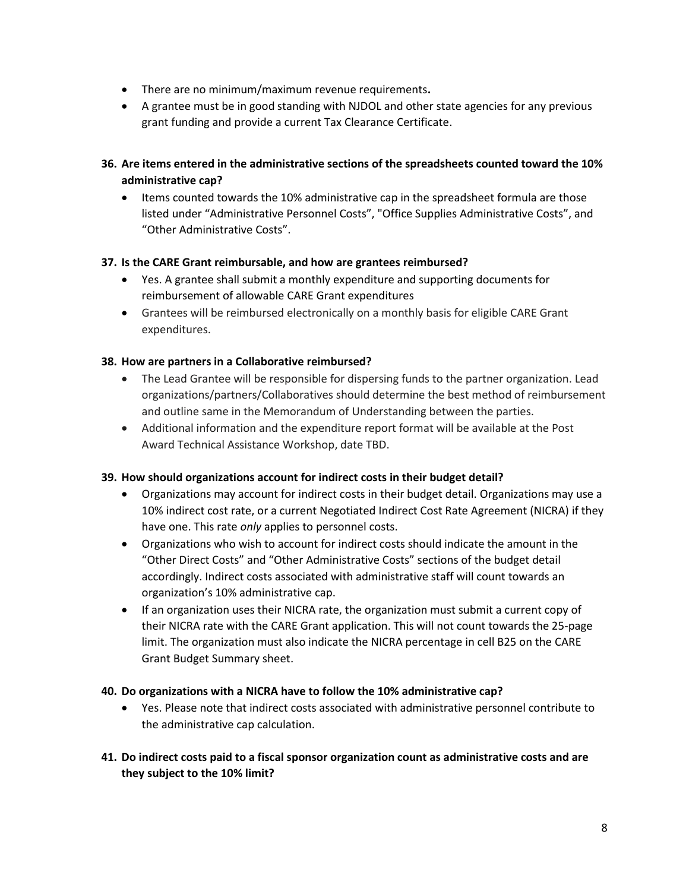- There are no minimum/maximum revenue requirements**.**
- A grantee must be in good standing with NJDOL and other state agencies for any previous grant funding and provide a current Tax Clearance Certificate.
- **36. Are items entered in the administrative sections of the spreadsheets counted toward the 10% administrative cap?** 
	- Items counted towards the 10% administrative cap in the spreadsheet formula are those listed under "Administrative Personnel Costs", "Office Supplies Administrative Costs", and "Other Administrative Costs".

#### **37. Is the CARE Grant reimbursable, and how are grantees reimbursed?**

- Yes. A grantee shall submit a monthly expenditure and supporting documents for reimbursement of allowable CARE Grant expenditures
- Grantees will be reimbursed electronically on a monthly basis for eligible CARE Grant expenditures.

#### **38. How are partners in a Collaborative reimbursed?**

- The Lead Grantee will be responsible for dispersing funds to the partner organization. Lead organizations/partners/Collaboratives should determine the best method of reimbursement and outline same in the Memorandum of Understanding between the parties.
- Additional information and the expenditure report format will be available at the Post Award Technical Assistance Workshop, date TBD.

#### **39. How should organizations account for indirect costs in their budget detail?**

- Organizations may account for indirect costs in their budget detail. Organizations may use a 10% indirect cost rate, or a current Negotiated Indirect Cost Rate Agreement (NICRA) if they have one. This rate *only* applies to personnel costs.
- Organizations who wish to account for indirect costs should indicate the amount in the "Other Direct Costs" and "Other Administrative Costs" sections of the budget detail accordingly. Indirect costs associated with administrative staff will count towards an organization's 10% administrative cap.
- If an organization uses their NICRA rate, the organization must submit a current copy of their NICRA rate with the CARE Grant application. This will not count towards the 25-page limit. The organization must also indicate the NICRA percentage in cell B25 on the CARE Grant Budget Summary sheet.

#### **40. Do organizations with a NICRA have to follow the 10% administrative cap?**

- Yes. Please note that indirect costs associated with administrative personnel contribute to the administrative cap calculation.
- **41. Do indirect costs paid to a fiscal sponsor organization count as administrative costs and are they subject to the 10% limit?**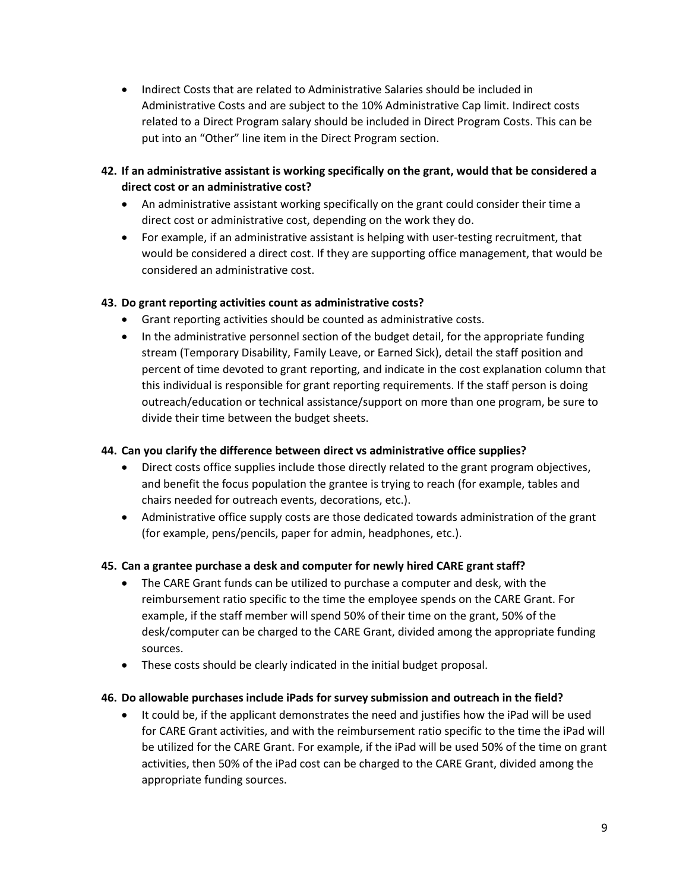Indirect Costs that are related to Administrative Salaries should be included in Administrative Costs and are subject to the 10% Administrative Cap limit. Indirect costs related to a Direct Program salary should be included in Direct Program Costs. This can be put into an "Other" line item in the Direct Program section.

# **42. If an administrative assistant is working specifically on the grant, would that be considered a direct cost or an administrative cost?**

- An administrative assistant working specifically on the grant could consider their time a direct cost or administrative cost, depending on the work they do.
- For example, if an administrative assistant is helping with user-testing recruitment, that would be considered a direct cost. If they are supporting office management, that would be considered an administrative cost.

# **43. Do grant reporting activities count as administrative costs?**

- Grant reporting activities should be counted as administrative costs.
- In the administrative personnel section of the budget detail, for the appropriate funding stream (Temporary Disability, Family Leave, or Earned Sick), detail the staff position and percent of time devoted to grant reporting, and indicate in the cost explanation column that this individual is responsible for grant reporting requirements. If the staff person is doing outreach/education or technical assistance/support on more than one program, be sure to divide their time between the budget sheets.

# **44. Can you clarify the difference between direct vs administrative office supplies?**

- Direct costs office supplies include those directly related to the grant program objectives, and benefit the focus population the grantee is trying to reach (for example, tables and chairs needed for outreach events, decorations, etc.).
- Administrative office supply costs are those dedicated towards administration of the grant (for example, pens/pencils, paper for admin, headphones, etc.).

# **45. Can a grantee purchase a desk and computer for newly hired CARE grant staff?**

- The CARE Grant funds can be utilized to purchase a computer and desk, with the reimbursement ratio specific to the time the employee spends on the CARE Grant. For example, if the staff member will spend 50% of their time on the grant, 50% of the desk/computer can be charged to the CARE Grant, divided among the appropriate funding sources.
- These costs should be clearly indicated in the initial budget proposal.

# **46. Do allowable purchases include iPads for survey submission and outreach in the field?**

 It could be, if the applicant demonstrates the need and justifies how the iPad will be used for CARE Grant activities, and with the reimbursement ratio specific to the time the iPad will be utilized for the CARE Grant. For example, if the iPad will be used 50% of the time on grant activities, then 50% of the iPad cost can be charged to the CARE Grant, divided among the appropriate funding sources.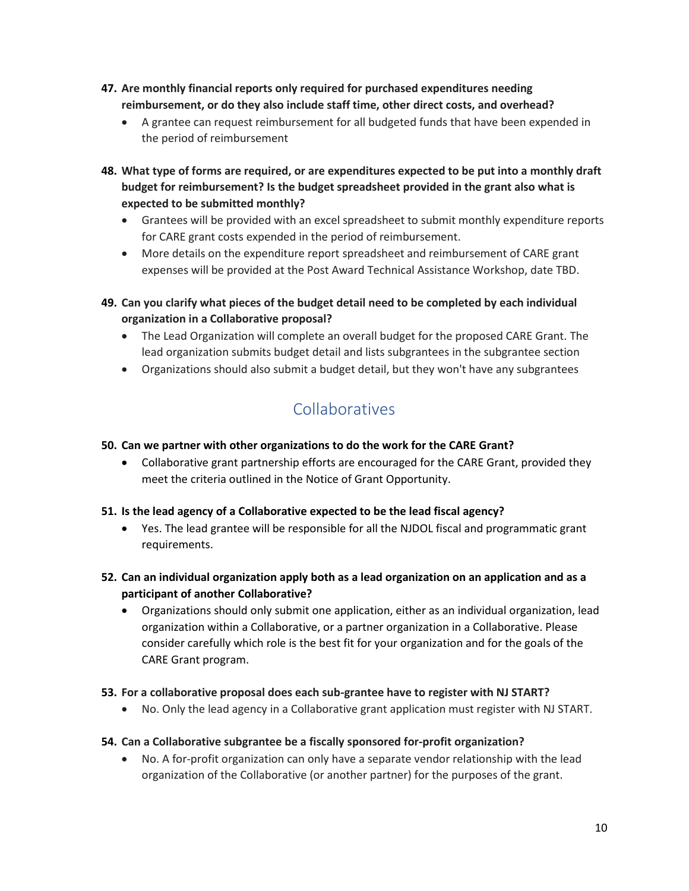- **47. Are monthly financial reports only required for purchased expenditures needing reimbursement, or do they also include staff time, other direct costs, and overhead?** 
	- A grantee can request reimbursement for all budgeted funds that have been expended in the period of reimbursement
- **48. What type of forms are required, or are expenditures expected to be put into a monthly draft budget for reimbursement? Is the budget spreadsheet provided in the grant also what is expected to be submitted monthly?** 
	- Grantees will be provided with an excel spreadsheet to submit monthly expenditure reports for CARE grant costs expended in the period of reimbursement.
	- More details on the expenditure report spreadsheet and reimbursement of CARE grant expenses will be provided at the Post Award Technical Assistance Workshop, date TBD.
- **49. Can you clarify what pieces of the budget detail need to be completed by each individual organization in a Collaborative proposal?** 
	- The Lead Organization will complete an overall budget for the proposed CARE Grant. The lead organization submits budget detail and lists subgrantees in the subgrantee section
	- Organizations should also submit a budget detail, but they won't have any subgrantees

# Collaboratives

# <span id="page-9-0"></span>**50. Can we partner with other organizations to do the work for the CARE Grant?**

- Collaborative grant partnership efforts are encouraged for the CARE Grant, provided they meet the criteria outlined in the Notice of Grant Opportunity.
- **51. Is the lead agency of a Collaborative expected to be the lead fiscal agency?** 
	- Yes. The lead grantee will be responsible for all the NJDOL fiscal and programmatic grant requirements.
- **52. Can an individual organization apply both as a lead organization on an application and as a participant of another Collaborative?** 
	- Organizations should only submit one application, either as an individual organization, lead organization within a Collaborative, or a partner organization in a Collaborative. Please consider carefully which role is the best fit for your organization and for the goals of the CARE Grant program.
- **53. For a collaborative proposal does each sub-grantee have to register with NJ START?** 
	- No. Only the lead agency in a Collaborative grant application must register with NJ START.

# **54. Can a Collaborative subgrantee be a fiscally sponsored for-profit organization?**

 No. A for-profit organization can only have a separate vendor relationship with the lead organization of the Collaborative (or another partner) for the purposes of the grant.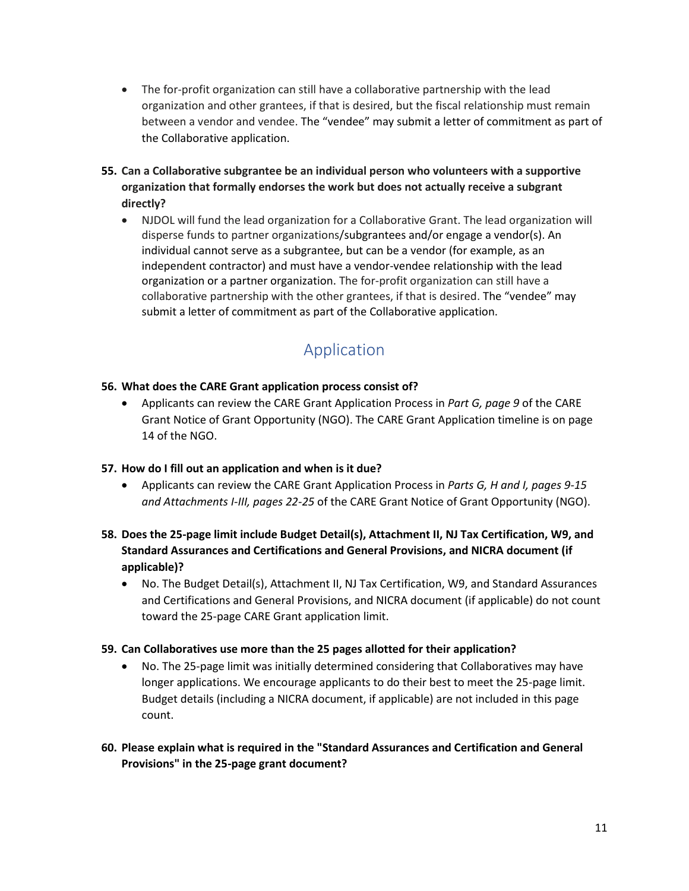- The for-profit organization can still have a collaborative partnership with the lead organization and other grantees, if that is desired, but the fiscal relationship must remain between a vendor and vendee. The "vendee" may submit a letter of commitment as part of the Collaborative application.
- **55. Can a Collaborative subgrantee be an individual person who volunteers with a supportive organization that formally endorses the work but does not actually receive a subgrant directly?** 
	- NJDOL will fund the lead organization for a Collaborative Grant. The lead organization will disperse funds to partner organizations/subgrantees and/or engage a vendor(s). An individual cannot serve as a subgrantee, but can be a vendor (for example, as an independent contractor) and must have a vendor-vendee relationship with the lead organization or a partner organization. The for-profit organization can still have a collaborative partnership with the other grantees, if that is desired. The "vendee" may submit a letter of commitment as part of the Collaborative application.

# Application

# <span id="page-10-0"></span>**56. What does the CARE Grant application process consist of?**

 Applicants can review the CARE Grant Application Process in *Part G, page 9* of the CARE Grant Notice of Grant Opportunity (NGO). The CARE Grant Application timeline is on page 14 of the NGO.

# **57. How do I fill out an application and when is it due?**

 Applicants can review the CARE Grant Application Process in *Parts G, H and I, pages 9-15 and Attachments I-III, pages 22-25* of the CARE Grant Notice of Grant Opportunity (NGO).

# **58. Does the 25-page limit include Budget Detail(s), Attachment II, NJ Tax Certification, W9, and Standard Assurances and Certifications and General Provisions, and NICRA document (if applicable)?**

 No. The Budget Detail(s), Attachment II, NJ Tax Certification, W9, and Standard Assurances and Certifications and General Provisions, and NICRA document (if applicable) do not count toward the 25-page CARE Grant application limit.

# **59. Can Collaboratives use more than the 25 pages allotted for their application?**

- No. The 25-page limit was initially determined considering that Collaboratives may have longer applications. We encourage applicants to do their best to meet the 25-page limit. Budget details (including a NICRA document, if applicable) are not included in this page count.
- **60. Please explain what is required in the "Standard Assurances and Certification and General Provisions" in the 25-page grant document?**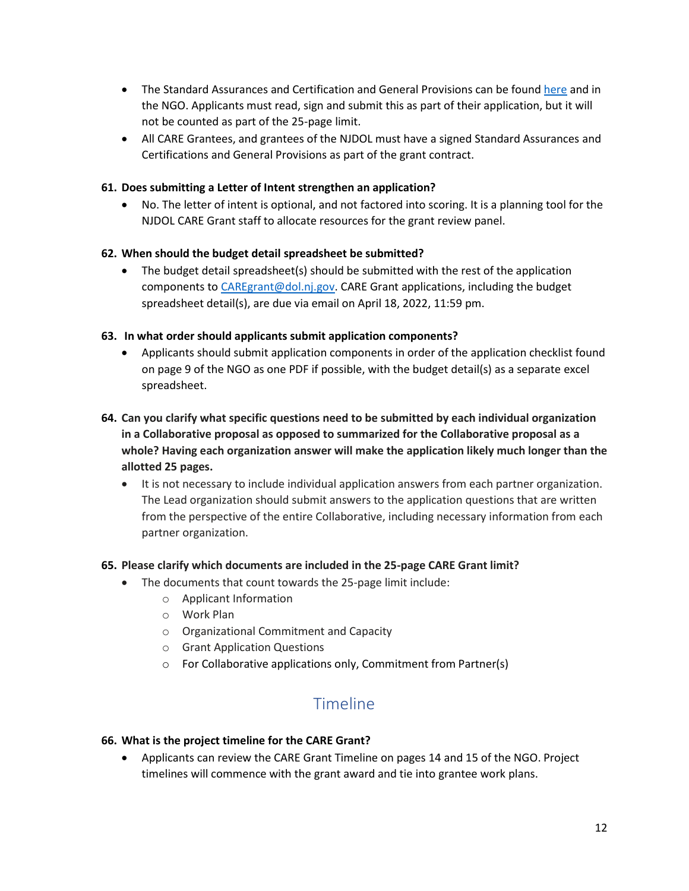- The Standard Assurances and Certification and General Provisions can be foun[d here](https://nj.gov/labor/assets/PDFs/Grants/StandardAssurancesandCertificationsandGeneralProvisionsFederalFundedPrograms_revised.pdf) and in the NGO. Applicants must read, sign and submit this as part of their application, but it will not be counted as part of the 25-page limit.
- All CARE Grantees, and grantees of the NJDOL must have a signed Standard Assurances and Certifications and General Provisions as part of the grant contract.

# **61. Does submitting a Letter of Intent strengthen an application?**

 No. The letter of intent is optional, and not factored into scoring. It is a planning tool for the NJDOL CARE Grant staff to allocate resources for the grant review panel.

# **62. When should the budget detail spreadsheet be submitted?**

 $\bullet$  The budget detail spreadsheet(s) should be submitted with the rest of the application components to [CAREgrant@dol.nj.gov.](mailto:CAREgrant@dol.nj.gov) CARE Grant applications, including the budget spreadsheet detail(s), are due via email on April 18, 2022, 11:59 pm.

# **63. In what order should applicants submit application components?**

- Applicants should submit application components in order of the application checklist found on page 9 of the NGO as one PDF if possible, with the budget detail(s) as a separate excel spreadsheet.
- **64. Can you clarify what specific questions need to be submitted by each individual organization in a Collaborative proposal as opposed to summarized for the Collaborative proposal as a whole? Having each organization answer will make the application likely much longer than the allotted 25 pages.**
	- It is not necessary to include individual application answers from each partner organization. The Lead organization should submit answers to the application questions that are written from the perspective of the entire Collaborative, including necessary information from each partner organization.

# **65. Please clarify which documents are included in the 25-page CARE Grant limit?**

- The documents that count towards the 25-page limit include:
	- o Applicant Information
	- o Work Plan
	- o Organizational Commitment and Capacity
	- o Grant Application Questions
	- o For Collaborative applications only, Commitment from Partner(s)

# Timeline

# <span id="page-11-0"></span>**66. What is the project timeline for the CARE Grant?**

 Applicants can review the CARE Grant Timeline on pages 14 and 15 of the NGO. Project timelines will commence with the grant award and tie into grantee work plans.